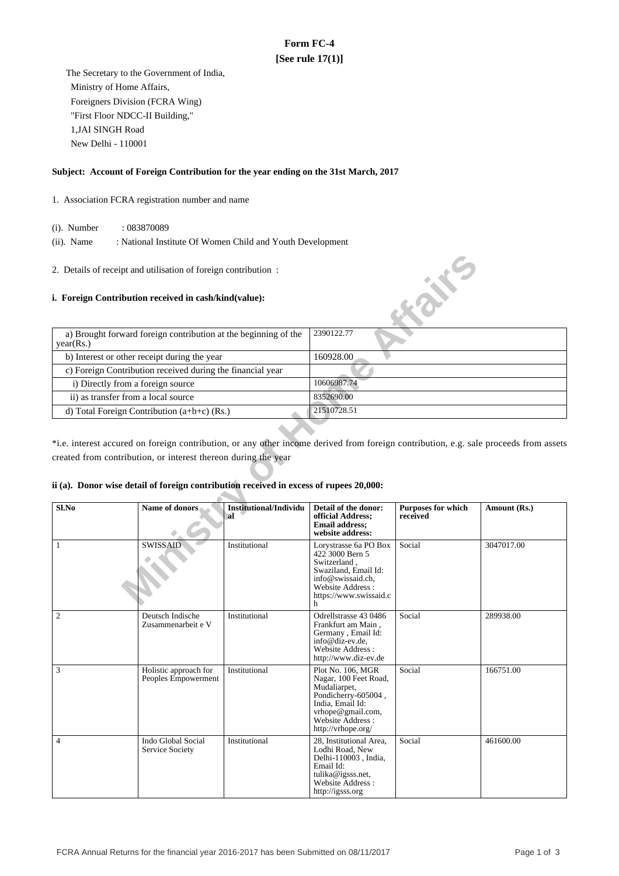# **Form FC-4 [See rule 17(1)]**

 The Secretary to the Government of India, Ministry of Home Affairs, Foreigners Division (FCRA Wing) "First Floor NDCC-II Building," 1,JAI SINGH Road New Delhi - 110001

### **Subject: Account of Foreign Contribution for the year ending on the 31st March, 2017**

### 1. Association FCRA registration number and name

- (i). Number : 083870089
- (ii). Name : National Institute Of Women Child and Youth Development
- 2. Details of receipt and utilisation of foreign contribution :

#### **i. Foreign Contribution received in cash/kind(value):**

| a) Brought forward foreign contribution at the beginning of the<br>year(Rs.) | 2390122.77  |
|------------------------------------------------------------------------------|-------------|
| b) Interest or other receipt during the year                                 | 160928.00   |
| c) Foreign Contribution received during the financial year                   |             |
| i) Directly from a foreign source                                            | 10606987.74 |
| ii) as transfer from a local source                                          | 8352690.00  |
| d) Total Foreign Contribution $(a+b+c)$ (Rs.)                                | 21510728.51 |

## **ii (a). Donor wise detail of foreign contribution received in excess of rupees 20,000:**

|                                     | 2. Details of receipt and utilisation of foreign contribution:                                                                                           |                                     |                                                                                                                                                                       |                                       |                                                                                                                                       |
|-------------------------------------|----------------------------------------------------------------------------------------------------------------------------------------------------------|-------------------------------------|-----------------------------------------------------------------------------------------------------------------------------------------------------------------------|---------------------------------------|---------------------------------------------------------------------------------------------------------------------------------------|
|                                     | i. Foreign Contribution received in cash/kind(value):                                                                                                    |                                     |                                                                                                                                                                       | <b>KONE</b>                           |                                                                                                                                       |
| year(Rs.)                           | a) Brought forward foreign contribution at the beginning of the                                                                                          |                                     | 2390122.77                                                                                                                                                            |                                       |                                                                                                                                       |
|                                     | b) Interest or other receipt during the year                                                                                                             |                                     | 160928.00                                                                                                                                                             |                                       |                                                                                                                                       |
|                                     | c) Foreign Contribution received during the financial year                                                                                               |                                     |                                                                                                                                                                       |                                       |                                                                                                                                       |
| i) Directly from a foreign source   |                                                                                                                                                          |                                     | 10606987.74                                                                                                                                                           |                                       |                                                                                                                                       |
| ii) as transfer from a local source |                                                                                                                                                          |                                     | 8352690.00                                                                                                                                                            |                                       |                                                                                                                                       |
|                                     | d) Total Foreign Contribution $(a+b+c)$ (Rs.)                                                                                                            |                                     | 21510728.51                                                                                                                                                           |                                       |                                                                                                                                       |
|                                     | created from contribution, or interest thereon during the year<br>ii (a). Donor wise detail of foreign contribution received in excess of rupees 20,000: |                                     |                                                                                                                                                                       |                                       | *i.e. interest accured on foreign contribution, or any other income derived from foreign contribution, e.g. sale proceeds from assets |
| Sl.No                               | <b>Name of donors</b>                                                                                                                                    | <b>Institutional/Individu</b><br>al | Detail of the donor:<br>official Address;<br><b>Email address:</b><br>website address:                                                                                | <b>Purposes for which</b><br>received | Amount (Rs.)                                                                                                                          |
| $\mathbf{1}$                        | SWISSAID                                                                                                                                                 | Institutional                       | Lorystrasse 6a PO Box<br>422 3000 Bern 5<br>Switzerland,<br>Swaziland, Email Id:<br>info@swissaid.ch.<br>Website Address:<br>https://www.swissaid.c<br>h              | Social                                | 3047017.00                                                                                                                            |
| $\mathfrak{2}$                      | Deutsch Indische<br>Zusammenarbeit e V                                                                                                                   | Institutional                       | Odrellstrasse 43 0486<br>Frankfurt am Main,<br>Germany, Email Id:<br>info@diz-ev.de.<br>Website Address:<br>http://www.diz-ev.de                                      | Social                                | 289938.00                                                                                                                             |
| 3                                   | Holistic approach for<br>Peoples Empowerment                                                                                                             | Institutional                       | Plot No. 106, MGR<br>Nagar, 100 Feet Road,<br>Mudaliarpet,<br>Pondicherry-605004,<br>India, Email Id:<br>vrhope@gmail.com,<br>Website Address :<br>http://vrhope.org/ | Social                                | 166751.00                                                                                                                             |
| 4                                   | Indo Global Social<br>Service Society                                                                                                                    | Institutional                       | 28, Institutional Area,<br>Lodhi Road, New<br>Delhi-110003, India,<br>Email Id:<br>tulika@igsss.net,<br>Website Address :<br>http://igsss.org                         | Social                                | 461600.00                                                                                                                             |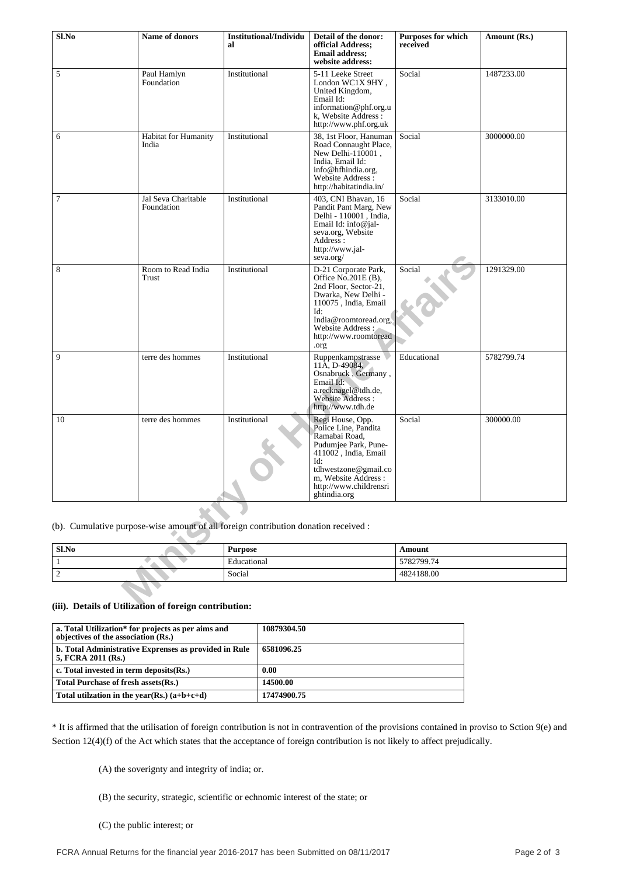| Sl.No               | Name of donors                    | <b>Institutional/Individu</b><br>al                                                 | Detail of the donor:<br>official Address;<br><b>Email address;</b><br>website address:                                                                                                                     | <b>Purposes for which</b><br>received | Amount (Rs.) |  |
|---------------------|-----------------------------------|-------------------------------------------------------------------------------------|------------------------------------------------------------------------------------------------------------------------------------------------------------------------------------------------------------|---------------------------------------|--------------|--|
| 5                   | Paul Hamlyn<br>Foundation         | Institutional                                                                       | 5-11 Leeke Street<br>London WC1X 9HY,<br>United Kingdom,<br>Email Id:<br>information@phf.org.u<br>k, Website Address :<br>http://www.phf.org.uk                                                            | Social                                | 1487233.00   |  |
| 6                   | Habitat for Humanity<br>India     | Institutional                                                                       | 38, 1st Floor, Hanuman<br>Road Connaught Place,<br>New Delhi-110001,<br>India, Email Id:<br>info@hfhindia.org,<br>Website Address:<br>http://habitatindia.in/                                              | Social                                | 3000000.00   |  |
| $\tau$              | Jal Seva Charitable<br>Foundation | Institutional                                                                       | 403, CNI Bhavan, 16<br>Pandit Pant Marg, New<br>Delhi - 110001, India,<br>Email Id: info@jal-<br>seva.org, Website<br>Address:<br>http://www.jal-<br>seva.org/                                             | Social                                | 3133010.00   |  |
| 8                   | Room to Read India<br>Trust       | Institutional                                                                       | D-21 Corporate Park,<br>Office No.201E (B),<br>2nd Floor, Sector-21,<br>Dwarka, New Delhi -<br>110075, India, Email<br>Id:<br>India@roomtoread.org,<br>Website Address:<br>http://www.roomtoread<br>.org   | Social                                | 1291329.00   |  |
| 9                   | terre des hommes                  | Institutional                                                                       | Ruppenkampstrasse<br>$11\text{\AA}$ , D-49084,<br>Osnabruck, Germany,<br>Email Id:<br>a.recknagel@tdh.de,<br>Website Address:<br>http://www.tdh.de                                                         | Educational                           | 5782799.74   |  |
| 10                  | terre des hommes                  | Institutional                                                                       | Regi House, Opp.<br>Police Line, Pandita<br>Ramabai Road,<br>Pudumjee Park, Pune-<br>411002, India, Email<br>Id:<br>tdhwestzone@gmail.co<br>m, Website Address :<br>http://www.childrensri<br>ghtindia.org | Social                                | 300000.00    |  |
|                     |                                   | (b). Cumulative purpose-wise amount of all foreign contribution donation received : |                                                                                                                                                                                                            |                                       |              |  |
| $Sl$ .No            |                                   | <b>Purpose</b>                                                                      |                                                                                                                                                                                                            | Amount                                |              |  |
| $\mathbf{1}$        |                                   | Educational                                                                         |                                                                                                                                                                                                            | 5782799.74                            |              |  |
| $\sqrt{2}$          |                                   | Social                                                                              |                                                                                                                                                                                                            | 4824188.00                            |              |  |
| .e t 14919<br>៶4:1. |                                   |                                                                                     |                                                                                                                                                                                                            |                                       |              |  |

| Sl.No | <b>Purpose</b> | Amount     |
|-------|----------------|------------|
|       | Educational    | 5782799.74 |
| -     | Social         | 4824188.00 |

## **(iii). Details of Utilization of foreign contribution:**

| a. Total Utilization* for projects as per aims and<br>objectives of the association (Rs.) | 10879304.50 |
|-------------------------------------------------------------------------------------------|-------------|
| b. Total Administrative Exprenses as provided in Rule<br>5, FCRA 2011 (Rs.)               | 6581096.25  |
| c. Total invested in term deposits(Rs.)                                                   | 0.00        |
| Total Purchase of fresh assets (Rs.)                                                      | 14500.00    |
| Total utilization in the year(Rs.) $(a+b+c+d)$                                            | 17474900.75 |

\* It is affirmed that the utilisation of foreign contribution is not in contravention of the provisions contained in proviso to Sction 9(e) and Section 12(4)(f) of the Act which states that the acceptance of foreign contribution is not likely to affect prejudically.

(A) the soverignty and integrity of india; or.

(B) the security, strategic, scientific or echnomic interest of the state; or

(C) the public interest; or